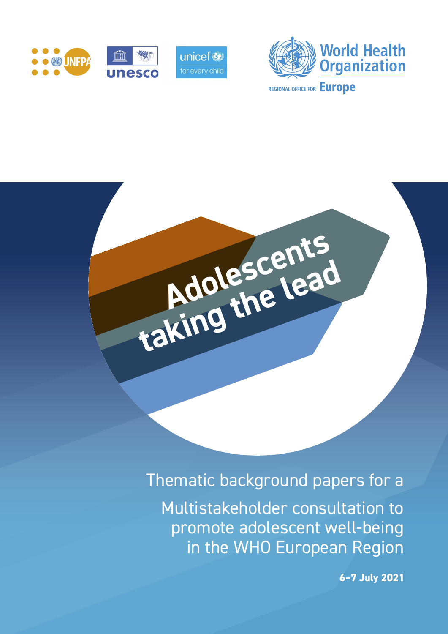





# Thematic background papers for a

Multistakeholder consultation to promote adolescent well-being in the WHO European Region

**6–7 July 2021**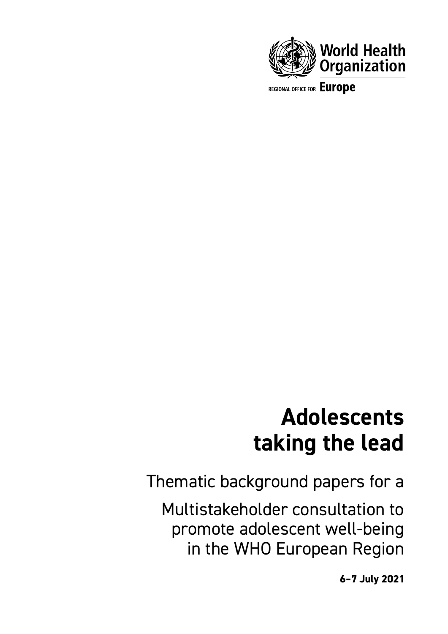

REGIONAL OFFICE FOR Europe

# **Adolescents taking the lead**

Thematic background papers for a

Multistakeholder consultation to promote adolescent well-being in the WHO European Region

**6–7 July 2021**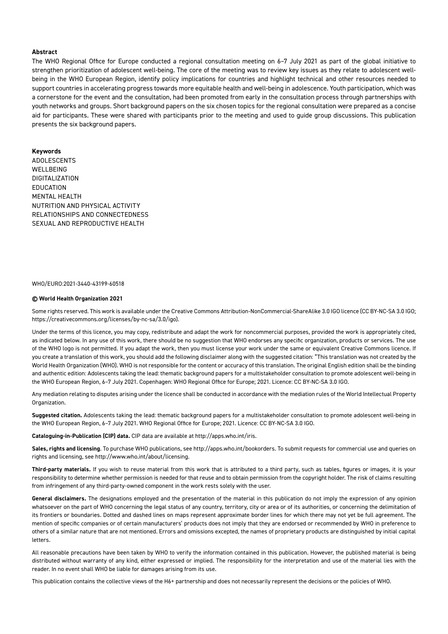#### **Abstract**

The WHO Regional Office for Europe conducted a regional consultation meeting on 6–7 July 2021 as part of the global initiative to strengthen prioritization of adolescent well-being. The core of the meeting was to review key issues as they relate to adolescent wellbeing in the WHO European Region, identify policy implications for countries and highlight technical and other resources needed to support countries in accelerating progress towards more equitable health and well-being in adolescence. Youth participation, which was a cornerstone for the event and the consultation, had been promoted from early in the consultation process through partnerships with youth networks and groups. Short background papers on the six chosen topics for the regional consultation were prepared as a concise aid for participants. These were shared with participants prior to the meeting and used to guide group discussions. This publication presents the six background papers.

#### **Keywords**

ADOLESCENTS WELL BEING DIGITALIZATION EDUCATION MENTAL HEALTH NUTRITION AND PHYSICAL ACTIVITY RELATIONSHIPS AND CONNECTEDNESS SEXUAL AND REPRODUCTIVE HEALTH

#### WHO/EURO:2021-3440-43199-60518

#### **© World Health Organization 2021**

Some rights reserved. This work is available under the Creative Commons Attribution-NonCommercial-ShareAlike 3.0 IGO licence (CC BY-NC-SA 3.0 IGO; https://creativecommons.org/licenses/by-nc-sa/3.0/igo).

Under the terms of this licence, you may copy, redistribute and adapt the work for noncommercial purposes, provided the work is appropriately cited, as indicated below. In any use of this work, there should be no suggestion that WHO endorses any specific organization, products or services. The use of the WHO logo is not permitted. If you adapt the work, then you must license your work under the same or equivalent Creative Commons licence. If you create a translation of this work, you should add the following disclaimer along with the suggested citation: "This translation was not created by the World Health Organization (WHO). WHO is not responsible for the content or accuracy of this translation. The original English edition shall be the binding and authentic edition: Adolescents taking the lead: thematic background papers for a multistakeholder consultation to promote adolescent well-being in the WHO European Region, 6–7 July 2021. Copenhagen: WHO Regional Office for Europe; 2021. Licence: CC BY-NC-SA 3.0 IGO.

Any mediation relating to disputes arising under the licence shall be conducted in accordance with the mediation rules of the World Intellectual Property Organization.

**Suggested citation.** Adolescents taking the lead: thematic background papers for a multistakeholder consultation to promote adolescent well-being in the WHO European Region, 6–7 July 2021. WHO Regional Office for Europe; 2021. Licence: CC BY-NC-SA 3.0 IGO.

**Cataloguing-in-Publication (CIP) data.** CIP data are available at<http://apps.who.int/iris>.

**Sales, rights and licensing**. To purchase WHO publications, see<http://apps.who.int/bookorders>. To submit requests for commercial use and queries on rights and licensing, see <http://www.who.int/about/licensing>.

**Third-party materials.** If you wish to reuse material from this work that is attributed to a third party, such as tables, figures or images, it is your responsibility to determine whether permission is needed for that reuse and to obtain permission from the copyright holder. The risk of claims resulting from infringement of any third-party-owned component in the work rests solely with the user.

**General disclaimers.** The designations employed and the presentation of the material in this publication do not imply the expression of any opinion whatsoever on the part of WHO concerning the legal status of any country, territory, city or area or of its authorities, or concerning the delimitation of its frontiers or boundaries. Dotted and dashed lines on maps represent approximate border lines for which there may not yet be full agreement. The mention of specific companies or of certain manufacturers' products does not imply that they are endorsed or recommended by WHO in preference to others of a similar nature that are not mentioned. Errors and omissions excepted, the names of proprietary products are distinguished by initial capital **letters** 

All reasonable precautions have been taken by WHO to verify the information contained in this publication. However, the published material is being distributed without warranty of any kind, either expressed or implied. The responsibility for the interpretation and use of the material lies with the reader. In no event shall WHO be liable for damages arising from its use.

This publication contains the collective views of the H6+ partnership and does not necessarily represent the decisions or the policies of WHO.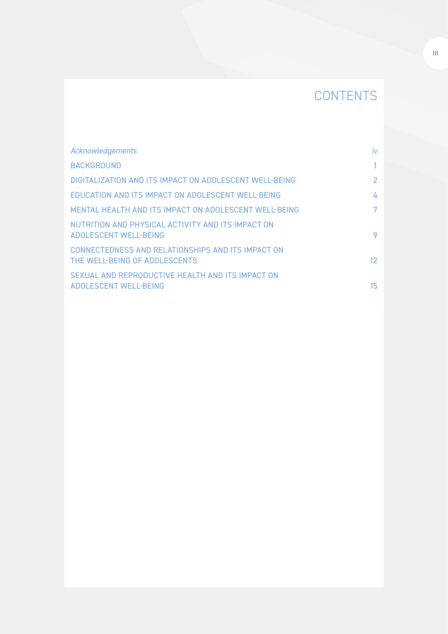# **CONTENTS**

| Acknowledgements                                                                   | iv              |
|------------------------------------------------------------------------------------|-----------------|
| <b>BACKGROUND</b>                                                                  |                 |
| DIGITALIZATION AND ITS IMPACT ON ADOLESCENT WELL-BEING                             | 2               |
| EDUCATION AND ITS IMPACT ON ADOLESCENT WELL-BEING                                  | 4               |
| MENTAL HEALTH AND ITS IMPACT ON ADOLESCENT WELL-BEING                              | 7               |
| NUTRITION AND PHYSICAL ACTIVITY AND ITS IMPACT ON<br>ADOLESCENT WELL-BEING         | 9               |
| CONNECTEDNESS AND RELATIONSHIPS AND ITS IMPACT ON<br>THE WELL-BEING OF ADOLESCENTS | 12 <sup>°</sup> |
| SEXUAL AND REPRODUCTIVE HEALTH AND ITS IMPACT ON<br>ADOLESCENT WELL-BEING          | 15              |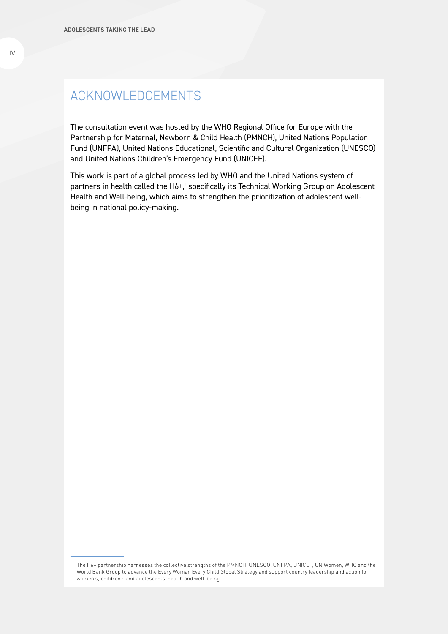# ACKNOWLEDGEMENTS

The consultation event was hosted by the WHO Regional Office for Europe with the Partnership for Maternal, Newborn & Child Health (PMNCH), United Nations Population Fund (UNFPA), United Nations Educational, Scientific and Cultural Organization (UNESCO) and United Nations Children's Emergency Fund (UNICEF).

This work is part of a global process led by WHO and the United Nations system of partners in health called the H6+,<sup>1</sup> specifically its Technical Working Group on Adolescent Health and Well-being, which aims to strengthen the prioritization of adolescent wellbeing in national policy-making.

<sup>1</sup> The H6+ partnership harnesses the collective strengths of the PMNCH, UNESCO, UNFPA, UNICEF, UN Women, WHO and the World Bank Group to advance the Every Woman Every Child Global Strategy and support country leadership and action for women's, children's and adolescents' health and well-being.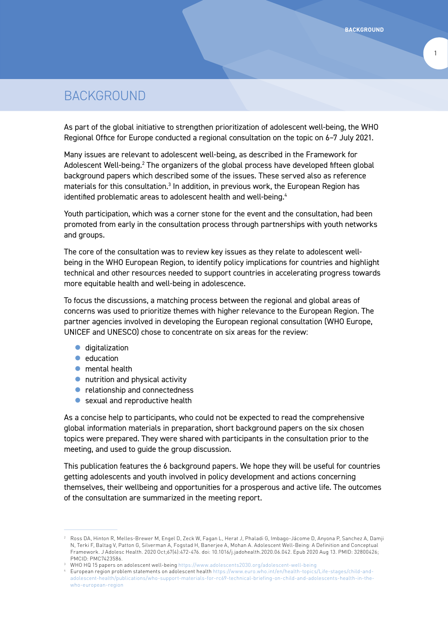1

# BACKGROUND

As part of the global initiative to strengthen prioritization of adolescent well-being, the WHO Regional Office for Europe conducted a regional consultation on the topic on 6–7 July 2021.

Many issues are relevant to adolescent well-being, as described in the Framework for Adolescent Well-being.<sup>2</sup> The organizers of the global process have developed fifteen global background papers which described some of the issues. These served also as reference materials for this consultation.<sup>3</sup> In addition, in previous work, the European Region has identified problematic areas to adolescent health and well-being.<sup>4</sup>

Youth participation, which was a corner stone for the event and the consultation, had been promoted from early in the consultation process through partnerships with youth networks and groups.

The core of the consultation was to review key issues as they relate to adolescent wellbeing in the WHO European Region, to identify policy implications for countries and highlight technical and other resources needed to support countries in accelerating progress towards more equitable health and well-being in adolescence.

To focus the discussions, a matching process between the regional and global areas of concerns was used to prioritize themes with higher relevance to the European Region. The partner agencies involved in developing the European regional consultation (WHO Europe, UNICEF and UNESCO) chose to concentrate on six areas for the review:

- $\bullet$  digitalization
- $\bullet$  education
- $\bullet$  mental health
- $\bullet$  nutrition and physical activity
- $\bullet$  relationship and connectedness
- $\bullet$  sexual and reproductive health

As a concise help to participants, who could not be expected to read the comprehensive global information materials in preparation, short background papers on the six chosen topics were prepared. They were shared with participants in the consultation prior to the meeting, and used to guide the group discussion.

This publication features the 6 background papers. We hope they will be useful for countries getting adolescents and youth involved in policy development and actions concerning themselves, their wellbeing and opportunities for a prosperous and active life. The outcomes of the consultation are summarized in the meeting report.

<sup>2</sup> Ross DA, Hinton R, Melles-Brewer M, Engel D, Zeck W, Fagan L, Herat J, Phaladi G, Imbago-Jácome D, Anyona P, Sanchez A, Damji N, Terki F, Baltag V, Patton G, Silverman A, Fogstad H, Banerjee A, Mohan A. Adolescent Well-Being: A Definition and Conceptual Framework. J Adolesc Health. 2020 Oct;67(4):472-476. doi: 10.1016/j.jadohealth.2020.06.042. Epub 2020 Aug 13. PMID: 32800426; PMCID: PMC7423586.

<sup>3</sup> WHO HQ 15 papers on adolescent well-being https://www.adolescents2030.org/adolescent-well-being

<sup>4</sup> European region problem statements on adolescent health https://www.euro.who.int/en/health-topics/Life-stages/child-andadolescent-health/publications/who-support-materials-for-rc69-technical-briefing-on-child-and-adolescents-health-in-thewho-european-region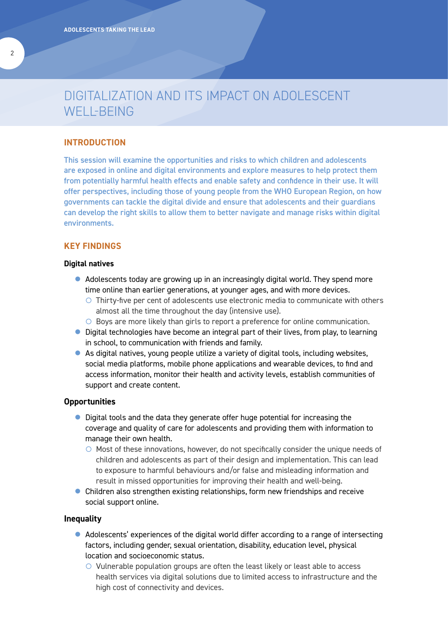# DIGITALIZATION AND ITS IMPACT ON ADOLESCENT WELL-BEING

# **INTRODUCTION**

This session will examine the opportunities and risks to which children and adolescents are exposed in online and digital environments and explore measures to help protect them from potentially harmful health effects and enable safety and confidence in their use. It will offer perspectives, including those of young people from the WHO European Region, on how governments can tackle the digital divide and ensure that adolescents and their guardians can develop the right skills to allow them to better navigate and manage risks within digital environments.

# **KEY FINDINGS**

#### **Digital natives**

- $\bullet$  Adolescents today are growing up in an increasingly digital world. They spend more time online than earlier generations, at younger ages, and with more devices.
	- $\circ$  Thirty-five per cent of adolescents use electronic media to communicate with others almost all the time throughout the day (intensive use).
	- $\circ$  Boys are more likely than girls to report a preference for online communication.
- Digital technologies have become an integral part of their lives, from play, to learning in school, to communication with friends and family.
- As digital natives, young people utilize a variety of digital tools, including websites, social media platforms, mobile phone applications and wearable devices, to find and access information, monitor their health and activity levels, establish communities of support and create content.

### **Opportunities**

- Digital tools and the data they generate offer huge potential for increasing the coverage and quality of care for adolescents and providing them with information to manage their own health.
	- $\circ$  Most of these innovations, however, do not specifically consider the unique needs of children and adolescents as part of their design and implementation. This can lead to exposure to harmful behaviours and/or false and misleading information and result in missed opportunities for improving their health and well-being.
- $\bullet$  Children also strengthen existing relationships, form new friendships and receive social support online.

# **Inequality**

- Adolescents' experiences of the digital world differ according to a range of intersecting factors, including gender, sexual orientation, disability, education level, physical location and socioeconomic status.
	- $\circ$  Vulnerable population groups are often the least likely or least able to access health services via digital solutions due to limited access to infrastructure and the high cost of connectivity and devices.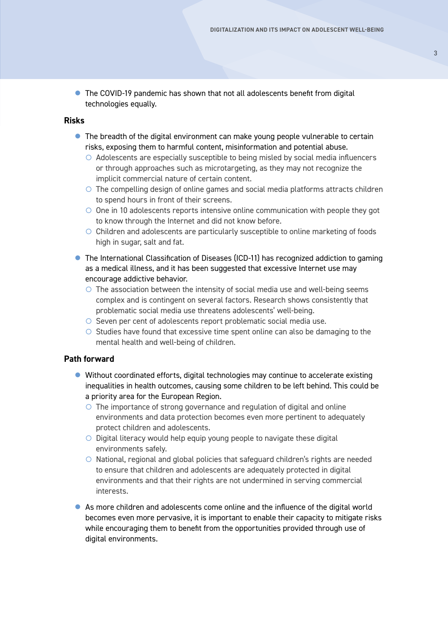**•** The COVID-19 pandemic has shown that not all adolescents benefit from digital technologies equally.

# **Risks**

- $\bullet$  The breadth of the digital environment can make young people vulnerable to certain risks, exposing them to harmful content, misinformation and potential abuse.
	- $\circ$  Adolescents are especially susceptible to being misled by social media influencers or through approaches such as microtargeting, as they may not recognize the implicit commercial nature of certain content.
	- $\circ$  The compelling design of online games and social media platforms attracts children to spend hours in front of their screens.
	- $\circ$  One in 10 adolescents reports intensive online communication with people they got to know through the Internet and did not know before.
	- $\circ$  Children and adolescents are particularly susceptible to online marketing of foods high in sugar, salt and fat.
- The International Classification of Diseases (ICD-11) has recognized addiction to gaming as a medical illness, and it has been suggested that excessive Internet use may encourage addictive behavior.
	- $\circ$  The association between the intensity of social media use and well-being seems complex and is contingent on several factors. Research shows consistently that problematic social media use threatens adolescents' well-being.
	- { Seven per cent of adolescents report problematic social media use.
	- $\circ$  Studies have found that excessive time spent online can also be damaging to the mental health and well-being of children.

# **Path forward**

- Without coordinated efforts, digital technologies may continue to accelerate existing inequalities in health outcomes, causing some children to be left behind. This could be a priority area for the European Region.
	- $\circ$  The importance of strong governance and regulation of digital and online environments and data protection becomes even more pertinent to adequately protect children and adolescents.
	- $\circ$  Digital literacy would help equip young people to navigate these digital environments safely.
	- $\circ$  National, regional and global policies that safeguard children's rights are needed to ensure that children and adolescents are adequately protected in digital environments and that their rights are not undermined in serving commercial interests.
- $\bullet$  As more children and adolescents come online and the influence of the digital world becomes even more pervasive, it is important to enable their capacity to mitigate risks while encouraging them to benefit from the opportunities provided through use of digital environments.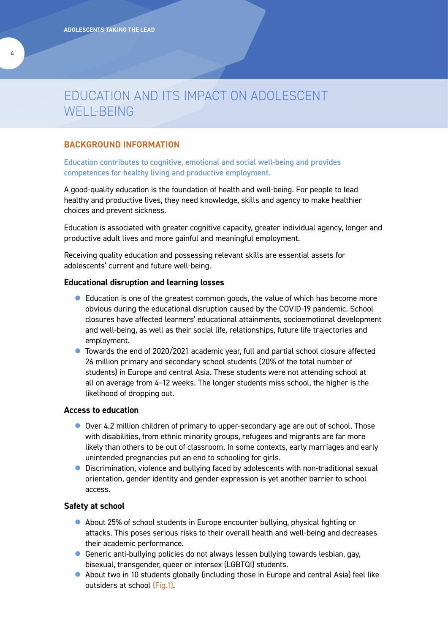# EDUCATION AND ITS IMPACT ON ADOLESCENT WELL-BEING

# **BACKGROUND INFORMATION**

Education contributes to cognitive, emotional and social well-being and provides competences for healthy living and productive employment.

A good-quality education is the foundation of health and well-being. For people to lead healthy and productive lives, they need knowledge, skills and agency to make healthier choices and prevent sickness.

Education is associated with greater cognitive capacity, greater individual agency, longer and productive adult lives and more gainful and meaningful employment.

Receiving quality education and possessing relevant skills are essential assets for adolescents' current and future well-being.

# **Educational disruption and learning losses**

- Education is one of the greatest common goods, the value of which has become more obvious during the educational disruption caused by the COVID-19 pandemic. School closures have affected learners' educational attainments, socioemotional development and well-being, as well as their social life, relationships, future life trajectories and employment.
- Towards the end of 2020/2021 academic year, full and partial school closure affected 26 million primary and secondary school students (20% of the total number of students) in Europe and central Asia. These students were not attending school at all on average from 4–12 weeks. The longer students miss school, the higher is the likelihood of dropping out.

# **Access to education**

- $\bullet$  Over 4.2 million children of primary to upper-secondary age are out of school. Those with disabilities, from ethnic minority groups, refugees and migrants are far more likely than others to be out of classroom. In some contexts, early marriages and early unintended pregnancies put an end to schooling for girls.
- **•** Discrimination, violence and bullying faced by adolescents with non-traditional sexual orientation, gender identity and gender expression is yet another barrier to school access.

# **Safety at school**

- About 25% of school students in Europe encounter bullying, physical fighting or attacks. This poses serious risks to their overall health and well-being and decreases their academic performance.
- **•** Generic anti-bullying policies do not always lessen bullying towards lesbian, gay, bisexual, transgender, queer or intersex (LGBTQI) students.
- $\bullet$  About two in 10 students globally (including those in Europe and central Asia) feel like outsiders at school (Fig.1).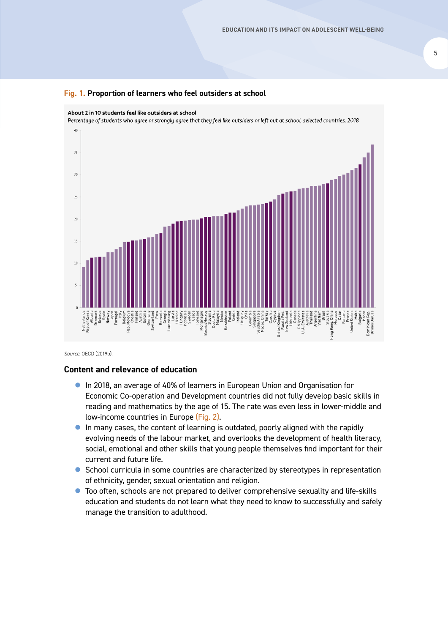

About 2 in 10 students feel like outsiders at school Percentage of students who agree or strongly agree that they feel like outsiders or left out at school, selected countries, 2018  $\overline{40}$  $35$  $30$  $\overline{25}$  $\overline{20}$ 15  $\overline{10}$ ķ, Philippines<br>A. Emirates Denmark Norway Italy Gremany<br>Switzerland Latvia Ukraine Hungary Uruguay Chile Colombia Singapore Turkey Slovakia<br>**Ig.** China Qatar Netherlands Rep. of Korea Albania Belarus Spain Japan Portugal Belgium Rep. Moldova Croatia Finland Austria **Estonia** Switzerland Romania Georgia Luxembourg Indonesia Sweden Geece Iceleand<br>Intenegro<br>Interzog<br>Slovenia<br>Malaysia<br>Mexico<br>Poland<br>Serbia<br>Serbia Montenegro Bosnia/Herzog Costa Rica Kazakhstan Saudia Arabia Macao, China Czechia Cyprus Lithuania United Kingdom Russia Fed. New Zealand Philippines U. A. Emirates Thailand Argentina Viet Nam Brazil Hong Kong, China Morocco Panama France Malta United States Bulgaria Jordan Dominican Rep. Brunei Daruss Peru Canada **Jnited** Dominica<br>Brunei I

*Source*: OECD (2019b).

### **Content and relevance of education**

- **In 2018, an average of 40% of learners in European Union and Organisation for** Economic Co-operation and Development countries did not fully develop basic skills in reading and mathematics by the age of 15. The rate was even less in lower-middle and low-income countries in Europe (Fig. 2).
- **In many cases, the content of learning is outdated, poorly aligned with the rapidly** evolving needs of the labour market, and overlooks the development of health literacy, social, emotional and other skills that young people themselves find important for their current and future life.
- School curricula in some countries are characterized by stereotypes in representation of ethnicity, gender, sexual orientation and religion.
- Too often, schools are not prepared to deliver comprehensive sexuality and life-skills education and students do not learn what they need to know to successfully and safely manage the transition to adulthood.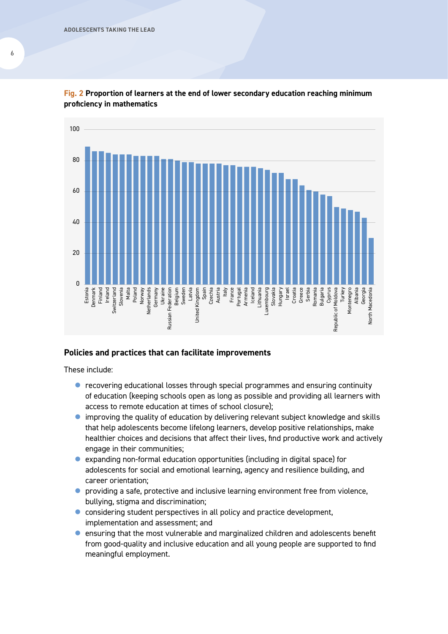

**Fig. 2 Proportion of learners at the end of lower secondary education reaching minimum proficiency in mathematics**

# **Policies and practices that can facilitate improvements**

These include:

- $\bullet$  recovering educational losses through special programmes and ensuring continuity of education (keeping schools open as long as possible and providing all learners with access to remote education at times of school closure);
- $\bullet$  improving the quality of education by delivering relevant subject knowledge and skills that help adolescents become lifelong learners, develop positive relationships, make healthier choices and decisions that affect their lives, find productive work and actively engage in their communities;
- $\bullet$  expanding non-formal education opportunities (including in digital space) for adolescents for social and emotional learning, agency and resilience building, and career orientation;
- $\bullet$  providing a safe, protective and inclusive learning environment free from violence, bullying, stigma and discrimination;
- considering student perspectives in all policy and practice development, implementation and assessment; and
- $\bullet$  ensuring that the most vulnerable and marginalized children and adolescents benefit from good-quality and inclusive education and all young people are supported to find meaningful employment.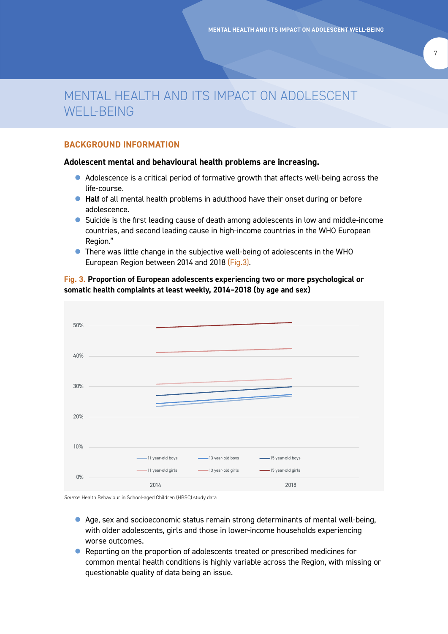# MENTAL HEALTH AND ITS IMPACT ON ADOLESCENT WELL-BEING

# **BACKGROUND INFORMATION**

# **Adolescent mental and behavioural health problems are increasing.**

- Adolescence is a critical period of formative growth that affects well-being across the life-course.
- **Half** of all mental health problems in adulthood have their onset during or before adolescence.
- Suicide is the first leading cause of death among adolescents in low and middle-income countries, and second leading cause in high-income countries in the WHO European Region."
- $\bullet$  There was little change in the subjective well-being of adolescents in the WHO European Region between 2014 and 2018 (Fig.3).

# **Fig. 3. Proportion of European adolescents experiencing two or more psychological or somatic health complaints at least weekly, 2014–2018 (by age and sex)** 60%



*Source*: Health Behaviour in School-aged Children (HBSC) study data.

- Age, sex and socioeconomic status remain strong determinants of mental well-being, with older adolescents, girls and those in lower-income households experiencing worse outcomes.
- Reporting on the proportion of adolescents treated or prescribed medicines for common mental health conditions is highly variable across the Region, with missing or questionable quality of data being an issue.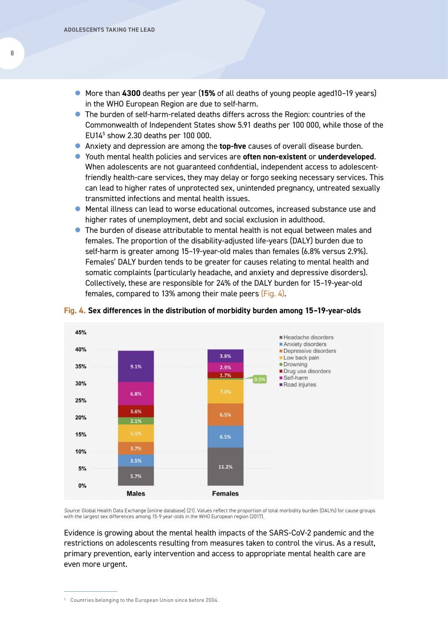- More than 4300 deaths per year (15% of all deaths of young people aged10-19 years) in the WHO European Region are due to self-harm.
- The burden of self-harm-related deaths differs across the Region: countries of the Commonwealth of Independent States show 5.91 deaths per 100 000, while those of the EU145 show 2.30 deaths per 100 000.
- **Anxiety and depression are among the top-five causes of overall disease burden.**
- **•** Youth mental health policies and services are **often non-existent** or **underdeveloped**. When adolescents are not guaranteed confidential, independent access to adolescentfriendly health-care services, they may delay or forgo seeking necessary services. This can lead to higher rates of unprotected sex, unintended pregnancy, untreated sexually transmitted infections and mental health issues.
- Mental illness can lead to worse educational outcomes, increased substance use and higher rates of unemployment, debt and social exclusion in adulthood.
- $\bullet$  The burden of disease attributable to mental health is not equal between males and females. The proportion of the disability-adjusted life-years (DALY) burden due to self-harm is greater among 15–19-year-old males than females (6.8% versus 2.9%). Females' DALY burden tends to be greater for causes relating to mental health and somatic complaints (particularly headache, and anxiety and depressive disorders). Collectively, these are responsible for 24% of the DALY burden for 15–19-year-old females, compared to 13% among their male peers (Fig. 4).



#### **Fig. 4. Sex differences in the distribution of morbidity burden among 15–19-year-olds**

*Source*: Global Health Data Exchange [online database] (21). Values reflect the proportion of total morbidity burden (DALYs) for cause groups with the largest sex differences among 15-9 year-olds in the WHO European region (2017).

Evidence is growing about the mental health impacts of the SARS-CoV-2 pandemic and the restrictions on adolescents resulting from measures taken to control the virus. As a result, primary prevention, early intervention and access to appropriate mental health care are even more urgent.

8

<sup>5</sup> Countries belonging to the European Union since before 2004.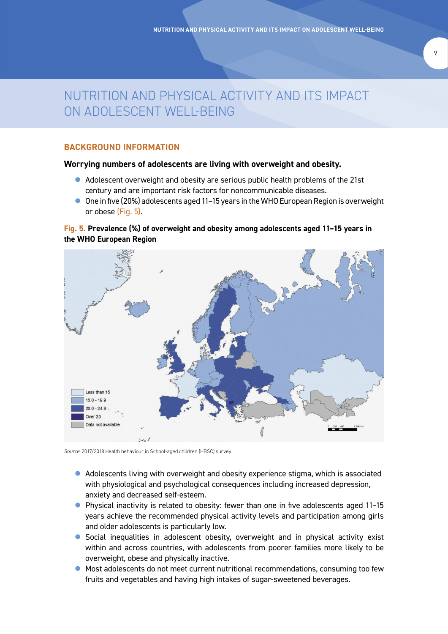# NUTRITION AND PHYSICAL ACTIVITY AND ITS IMPACT ON ADOLESCENT WELL-BEING

# **BACKGROUND INFORMATION**

### **Worrying numbers of adolescents are living with overweight and obesity.**

- Adolescent overweight and obesity are serious public health problems of the 21st century and are important risk factors for noncommunicable diseases.
- One in five (20%) adolescents aged 11-15 years in the WHO European Region is overweight or obese (Fig. 5).

# **Fig. 5. Prevalence (%) of overweight and obesity among adolescents aged 11–15 years in the WHO European Region**



*Source*: 2017/2018 Health behaviour in School-aged children (HBSC) survey.

- $\bullet$  Adolescents living with overweight and obesity experience stigma, which is associated with physiological and psychological consequences including increased depression, anxiety and decreased self-esteem.
- Physical inactivity is related to obesity: fewer than one in five adolescents aged 11-15 years achieve the recommended physical activity levels and participation among girls and older adolescents is particularly low.
- Social inequalities in adolescent obesity, overweight and in physical activity exist within and across countries, with adolescents from poorer families more likely to be overweight, obese and physically inactive.
- $\bullet$  Most adolescents do not meet current nutritional recommendations, consuming too few fruits and vegetables and having high intakes of sugar-sweetened beverages.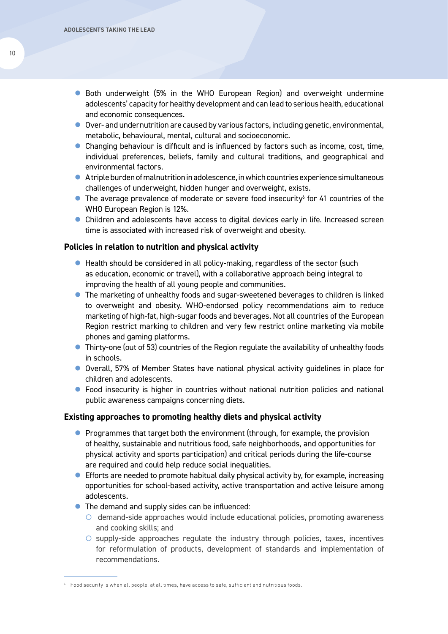- Both underweight (5% in the WHO European Region) and overweight undermine adolescents' capacity for healthy development and can lead to serious health, educational and economic consequences.
- Over- and undernutrition are caused by various factors, including genetic, environmental, metabolic, behavioural, mental, cultural and socioeconomic.
- Changing behaviour is difficult and is influenced by factors such as income, cost, time, individual preferences, beliefs, family and cultural traditions, and geographical and environmental factors.
- A triple burden of malnutrition in adolescence, in which countries experience simultaneous challenges of underweight, hidden hunger and overweight, exists.
- $\bullet$  The average prevalence of moderate or severe food insecurity<sup>6</sup> for 41 countries of the WHO European Region is 12%.
- Children and adolescents have access to digital devices early in life. Increased screen time is associated with increased risk of overweight and obesity.

### **Policies in relation to nutrition and physical activity**

- $\bullet$  Health should be considered in all policy-making, regardless of the sector (such as education, economic or travel), with a collaborative approach being integral to improving the health of all young people and communities.
- The marketing of unhealthy foods and sugar-sweetened beverages to children is linked to overweight and obesity. WHO-endorsed policy recommendations aim to reduce marketing of high-fat, high-sugar foods and beverages. Not all countries of the European Region restrict marking to children and very few restrict online marketing via mobile phones and gaming platforms.
- Thirty-one (out of 53) countries of the Region regulate the availability of unhealthy foods in schools.
- Overall, 57% of Member States have national physical activity guidelines in place for children and adolescents.
- Food insecurity is higher in countries without national nutrition policies and national public awareness campaigns concerning diets.

# **Existing approaches to promoting healthy diets and physical activity**

- $\bullet$  Programmes that target both the environment (through, for example, the provision of healthy, sustainable and nutritious food, safe neighborhoods, and opportunities for physical activity and sports participation) and critical periods during the life-course are required and could help reduce social inequalities.
- $\bullet$  Efforts are needed to promote habitual daily physical activity by, for example, increasing opportunities for school-based activity, active transportation and active leisure among adolescents.
- $\bullet$  The demand and supply sides can be influenced:
	- $\circ$  demand-side approaches would include educational policies, promoting awareness and cooking skills; and
	- $\circ$  supply-side approaches regulate the industry through policies, taxes, incentives for reformulation of products, development of standards and implementation of recommendations.

 $6$  Food security is when all people, at all times, have access to safe, sufficient and nutritious foods.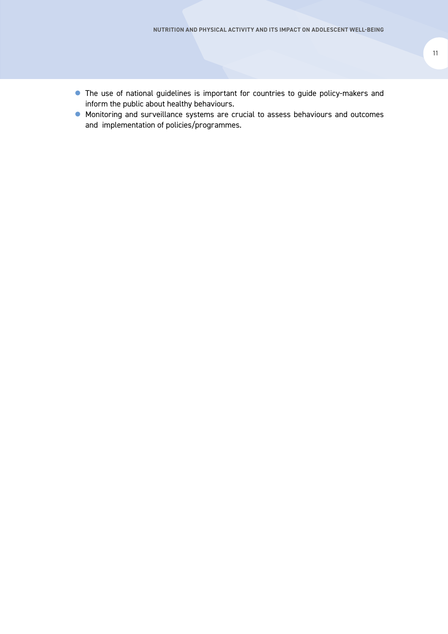- **•** The use of national guidelines is important for countries to guide policy-makers and inform the public about healthy behaviours.
- $\bullet$  Monitoring and surveillance systems are crucial to assess behaviours and outcomes and implementation of policies/programmes.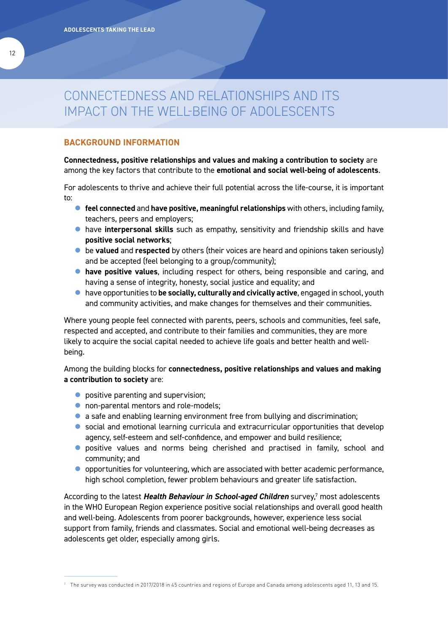# CONNECTEDNESS AND RELATIONSHIPS AND ITS IMPACT ON THE WELL-BEING OF ADOLESCENTS

# **BACKGROUND INFORMATION**

# **Connectedness, positive relationships and values and making a contribution to society** are among the key factors that contribute to the **emotional and social well-being of adolescents**.

For adolescents to thrive and achieve their full potential across the life-course, it is important to:

- **feel connected and have positive, meaningful relationships** with others, including family, teachers, peers and employers;
- **•** have **interpersonal skills** such as empathy, sensitivity and friendship skills and have **positive social networks**;
- **•** be valued and respected by others (their voices are heard and opinions taken seriously) and be accepted (feel belonging to a group/community);
- **have positive values**, including respect for others, being responsible and caring, and having a sense of integrity, honesty, social justice and equality; and
- **•** have opportunities to **be socially, culturally and civically active**, engaged in school, youth and community activities, and make changes for themselves and their communities.

Where young people feel connected with parents, peers, schools and communities, feel safe, respected and accepted, and contribute to their families and communities, they are more likely to acquire the social capital needed to achieve life goals and better health and wellbeing.

Among the building blocks for **connectedness, positive relationships and values and making a contribution to society** are:

- $\bullet$  positive parenting and supervision;
- **•** non-parental mentors and role-models;
- a safe and enabling learning environment free from bullying and discrimination;
- social and emotional learning curricula and extracurricular opportunities that develop agency, self-esteem and self-confidence, and empower and build resilience;
- **•** positive values and norms being cherished and practised in family, school and community; and
- $\bullet$  opportunities for volunteering, which are associated with better academic performance, high school completion, fewer problem behaviours and greater life satisfaction.

According to the latest *Health Behaviour in School-aged Children* survey,7 most adolescents in the WHO European Region experience positive social relationships and overall good health and well-being. Adolescents from poorer backgrounds, however, experience less social support from family, friends and classmates. Social and emotional well-being decreases as adolescents get older, especially among girls.

 $^7$  The survey was conducted in 2017/2018 in 45 countries and regions of Europe and Canada among adolescents aged 11, 13 and 15.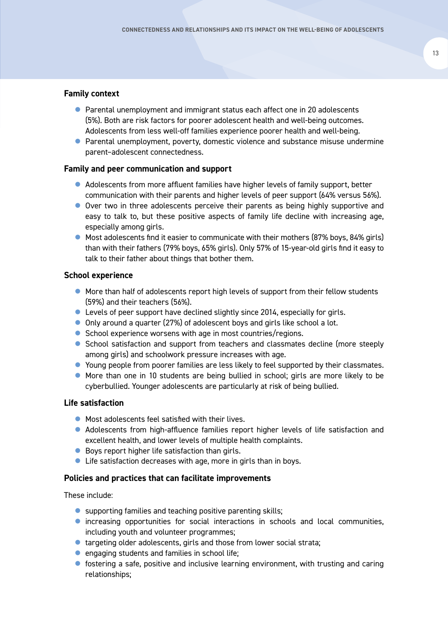# **Family context**

- Parental unemployment and immigrant status each affect one in 20 adolescents (5%). Both are risk factors for poorer adolescent health and well-being outcomes. Adolescents from less well-off families experience poorer health and well-being.
- Parental unemployment, poverty, domestic violence and substance misuse undermine parent–adolescent connectedness.

# **Family and peer communication and support**

- Adolescents from more affluent families have higher levels of family support, better communication with their parents and higher levels of peer support (64% versus 56%).
- Over two in three adolescents perceive their parents as being highly supportive and easy to talk to, but these positive aspects of family life decline with increasing age, especially among girls.
- Most adolescents find it easier to communicate with their mothers (87% boys, 84% girls) than with their fathers (79% boys, 65% girls). Only 57% of 15-year-old girls find it easy to talk to their father about things that bother them.

### **School experience**

- More than half of adolescents report high levels of support from their fellow students (59%) and their teachers (56%).
- $\bullet$  Levels of peer support have declined slightly since 2014, especially for girls.
- Only around a quarter (27%) of adolescent boys and girls like school a lot.
- School experience worsens with age in most countries/regions.
- School satisfaction and support from teachers and classmates decline (more steeply among girls) and schoolwork pressure increases with age.
- Young people from poorer families are less likely to feel supported by their classmates.
- More than one in 10 students are being bullied in school; girls are more likely to be cyberbullied. Younger adolescents are particularly at risk of being bullied.

# **Life satisfaction**

- $\bullet$  Most adolescents feel satisfied with their lives.
- Adolescents from high-affluence families report higher levels of life satisfaction and excellent health, and lower levels of multiple health complaints.
- $\bullet$  Boys report higher life satisfaction than girls.
- $\bullet$  Life satisfaction decreases with age, more in girls than in boys.

### **Policies and practices that can facilitate improvements**

These include:

- $\bullet$  supporting families and teaching positive parenting skills;
- increasing opportunities for social interactions in schools and local communities, including youth and volunteer programmes;
- $\bullet$  targeting older adolescents, girls and those from lower social strata;
- $\bullet$  engaging students and families in school life;
- **•** fostering a safe, positive and inclusive learning environment, with trusting and caring relationships;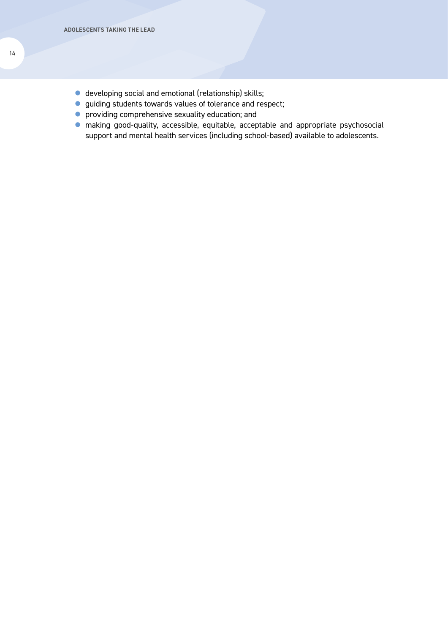- $\bullet$  developing social and emotional (relationship) skills;
- **•** guiding students towards values of tolerance and respect;
- $\bullet$  providing comprehensive sexuality education; and
- $\bullet$  making good-quality, accessible, equitable, acceptable and appropriate psychosocial support and mental health services (including school-based) available to adolescents.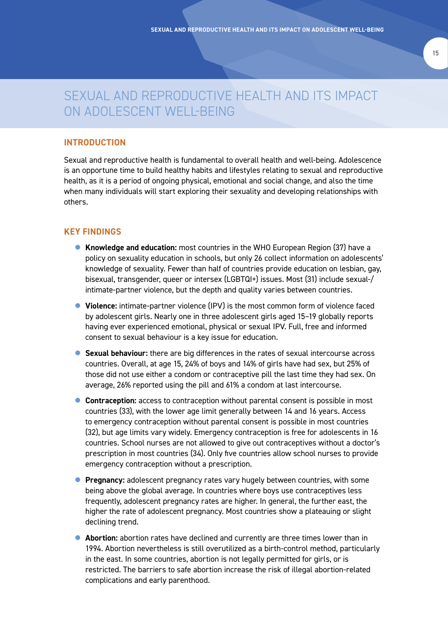# SEXUAL AND REPRODUCTIVE HEALTH AND ITS IMPACT ON ADOLESCENT WELL-BEING

# **INTRODUCTION**

Sexual and reproductive health is fundamental to overall health and well-being. Adolescence is an opportune time to build healthy habits and lifestyles relating to sexual and reproductive health, as it is a period of ongoing physical, emotional and social change, and also the time when many individuals will start exploring their sexuality and developing relationships with others.

### **KEY FINDINGS**

- **Knowledge and education:** most countries in the WHO European Region (37) have a policy on sexuality education in schools, but only 26 collect information on adolescents' knowledge of sexuality. Fewer than half of countries provide education on lesbian, gay, bisexual, transgender, queer or intersex (LGBTQI+) issues. Most (31) include sexual-/ intimate-partner violence, but the depth and quality varies between countries.
- **Violence:** intimate-partner violence (IPV) is the most common form of violence faced by adolescent girls. Nearly one in three adolescent girls aged 15–19 globally reports having ever experienced emotional, physical or sexual IPV. Full, free and informed consent to sexual behaviour is a key issue for education.
- **Sexual behaviour:** there are big differences in the rates of sexual intercourse across countries. Overall, at age 15, 24% of boys and 14% of girls have had sex, but 25% of those did not use either a condom or contraceptive pill the last time they had sex. On average, 26% reported using the pill and 61% a condom at last intercourse.
- **Contraception:** access to contraception without parental consent is possible in most countries (33), with the lower age limit generally between 14 and 16 years. Access to emergency contraception without parental consent is possible in most countries (32), but age limits vary widely. Emergency contraception is free for adolescents in 16 countries. School nurses are not allowed to give out contraceptives without a doctor's prescription in most countries (34). Only five countries allow school nurses to provide emergency contraception without a prescription.
- **Pregnancy:** adolescent pregnancy rates vary hugely between countries, with some being above the global average. In countries where boys use contraceptives less frequently, adolescent pregnancy rates are higher. In general, the further east, the higher the rate of adolescent pregnancy. Most countries show a plateauing or slight declining trend.
- **Abortion:** abortion rates have declined and currently are three times lower than in 1994. Abortion nevertheless is still overutilized as a birth-control method, particularly in the east. In some countries, abortion is not legally permitted for girls, or is restricted. The barriers to safe abortion increase the risk of illegal abortion-related complications and early parenthood.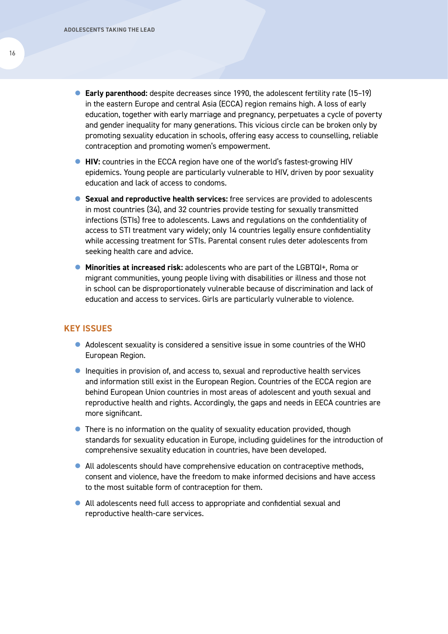- **Early parenthood:** despite decreases since 1990, the adolescent fertility rate (15-19) in the eastern Europe and central Asia (ECCA) region remains high. A loss of early education, together with early marriage and pregnancy, perpetuates a cycle of poverty and gender inequality for many generations. This vicious circle can be broken only by promoting sexuality education in schools, offering easy access to counselling, reliable contraception and promoting women's empowerment.
- **HIV:** countries in the ECCA region have one of the world's fastest-growing HIV epidemics. Young people are particularly vulnerable to HIV, driven by poor sexuality education and lack of access to condoms.
- **Sexual and reproductive health services:** free services are provided to adolescents in most countries (34), and 32 countries provide testing for sexually transmitted infections (STIs) free to adolescents. Laws and regulations on the confidentiality of access to STI treatment vary widely; only 14 countries legally ensure confidentiality while accessing treatment for STIs. Parental consent rules deter adolescents from seeking health care and advice.
- Minorities at increased risk: adolescents who are part of the LGBTQI+, Roma or migrant communities, young people living with disabilities or illness and those not in school can be disproportionately vulnerable because of discrimination and lack of education and access to services. Girls are particularly vulnerable to violence.

# **KEY ISSUES**

- Adolescent sexuality is considered a sensitive issue in some countries of the WHO European Region.
- **•** Inequities in provision of, and access to, sexual and reproductive health services and information still exist in the European Region. Countries of the ECCA region are behind European Union countries in most areas of adolescent and youth sexual and reproductive health and rights. Accordingly, the gaps and needs in EECA countries are more significant.
- There is no information on the quality of sexuality education provided, though standards for sexuality education in Europe, including guidelines for the introduction of comprehensive sexuality education in countries, have been developed.
- All adolescents should have comprehensive education on contraceptive methods, consent and violence, have the freedom to make informed decisions and have access to the most suitable form of contraception for them.
- All adolescents need full access to appropriate and confidential sexual and reproductive health-care services.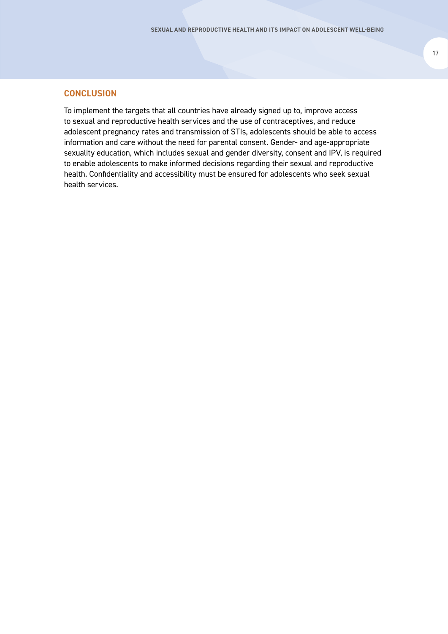### **CONCLUSION**

To implement the targets that all countries have already signed up to, improve access to sexual and reproductive health services and the use of contraceptives, and reduce adolescent pregnancy rates and transmission of STIs, adolescents should be able to access information and care without the need for parental consent. Gender- and age-appropriate sexuality education, which includes sexual and gender diversity, consent and IPV, is required to enable adolescents to make informed decisions regarding their sexual and reproductive health. Confidentiality and accessibility must be ensured for adolescents who seek sexual health services.